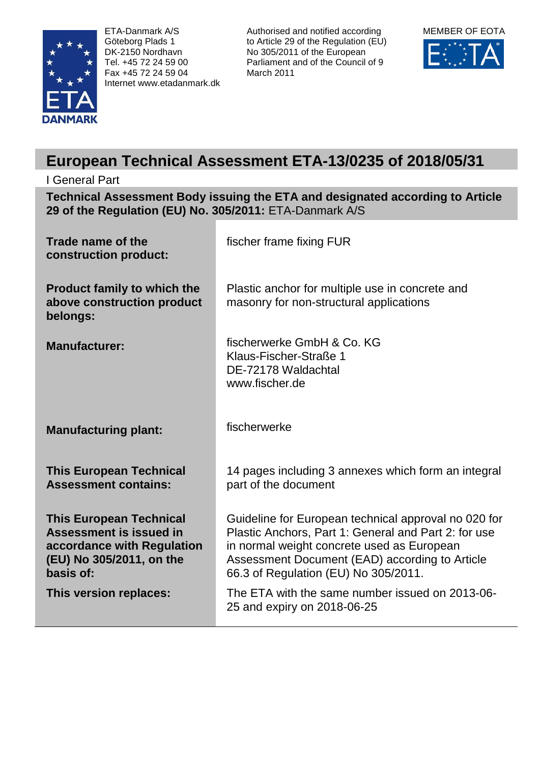

ETA-Danmark A/S Göteborg Plads 1 DK-2150 Nordhavn Tel. +45 72 24 59 00 Fax +45 72 24 59 04 Internet www.etadanmark.dk Authorised and notified according to Article 29 of the Regulation (EU) No 305/2011 of the European Parliament and of the Council of 9 March 2011



# **European Technical Assessment ETA-13/0235 of 2018/05/31**

# I General Part

**Technical Assessment Body issuing the ETA and designated according to Article 29 of the Regulation (EU) No. 305/2011:** ETA-Danmark A/S

| Trade name of the<br>construction product:                                                                                       | fischer frame fixing FUR                                                                                                                                                                                                                             |
|----------------------------------------------------------------------------------------------------------------------------------|------------------------------------------------------------------------------------------------------------------------------------------------------------------------------------------------------------------------------------------------------|
| <b>Product family to which the</b><br>above construction product<br>belongs:                                                     | Plastic anchor for multiple use in concrete and<br>masonry for non-structural applications                                                                                                                                                           |
| <b>Manufacturer:</b>                                                                                                             | fischerwerke GmbH & Co. KG<br>Klaus-Fischer-Straße 1<br>DE-72178 Waldachtal<br>www.fischer.de                                                                                                                                                        |
| <b>Manufacturing plant:</b>                                                                                                      | fischerwerke                                                                                                                                                                                                                                         |
| <b>This European Technical</b><br><b>Assessment contains:</b>                                                                    | 14 pages including 3 annexes which form an integral<br>part of the document                                                                                                                                                                          |
| <b>This European Technical</b><br>Assessment is issued in<br>accordance with Regulation<br>(EU) No 305/2011, on the<br>basis of: | Guideline for European technical approval no 020 for<br>Plastic Anchors, Part 1: General and Part 2: for use<br>in normal weight concrete used as European<br>Assessment Document (EAD) according to Article<br>66.3 of Regulation (EU) No 305/2011. |
| This version replaces:                                                                                                           | The ETA with the same number issued on 2013-06-<br>25 and expiry on 2018-06-25                                                                                                                                                                       |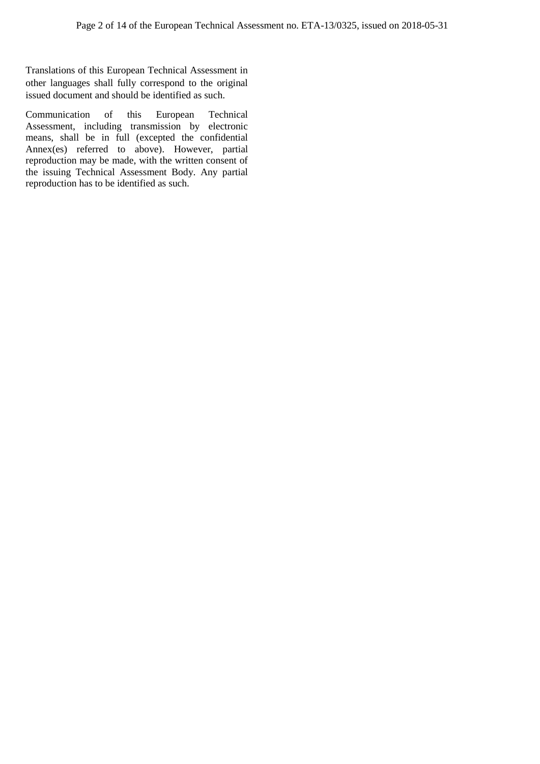Translations of this European Technical Assessment in other languages shall fully correspond to the original issued document and should be identified as such.

Communication of this European Technical Assessment, including transmission by electronic means, shall be in full (excepted the confidential Annex(es) referred to above). However, partial reproduction may be made, with the written consent of the issuing Technical Assessment Body. Any partial reproduction has to be identified as such.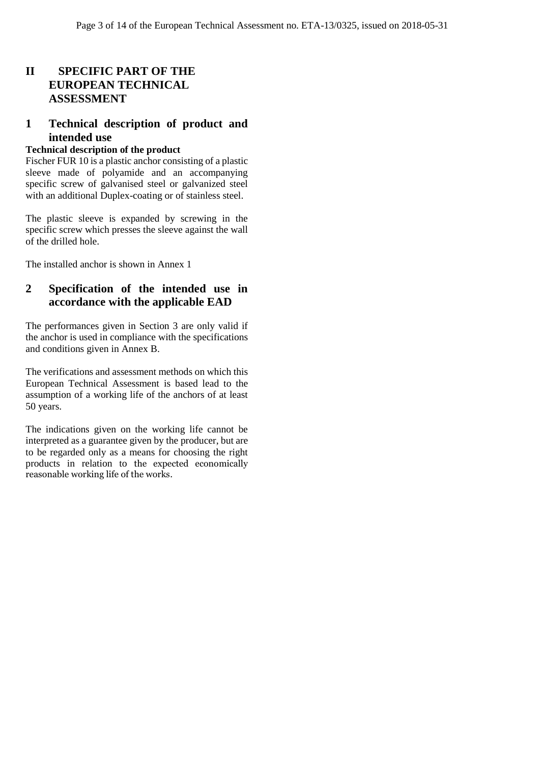# **II SPECIFIC PART OF THE EUROPEAN TECHNICAL ASSESSMENT**

## **1 Technical description of product and intended use**

#### **Technical description of the product**

Fischer FUR 10 is a plastic anchor consisting of a plastic sleeve made of polyamide and an accompanying specific screw of galvanised steel or galvanized steel with an additional Duplex-coating or of stainless steel.

The plastic sleeve is expanded by screwing in the specific screw which presses the sleeve against the wall of the drilled hole.

The installed anchor is shown in Annex 1

## **2 Specification of the intended use in accordance with the applicable EAD**

The performances given in Section 3 are only valid if the anchor is used in compliance with the specifications and conditions given in Annex B.

The verifications and assessment methods on which this European Technical Assessment is based lead to the assumption of a working life of the anchors of at least 50 years.

The indications given on the working life cannot be interpreted as a guarantee given by the producer, but are to be regarded only as a means for choosing the right products in relation to the expected economically reasonable working life of the works.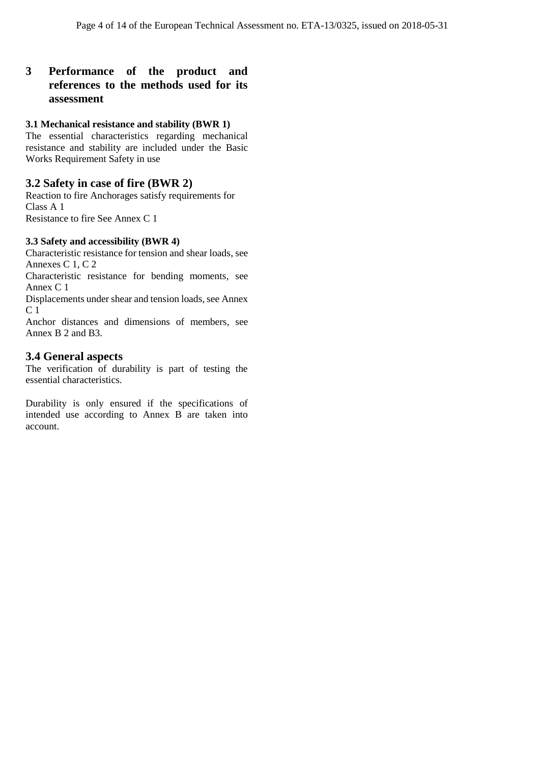## **3 Performance of the product and references to the methods used for its assessment**

#### **3.1 Mechanical resistance and stability (BWR 1)**

The essential characteristics regarding mechanical resistance and stability are included under the Basic Works Requirement Safety in use

#### **3.2 Safety in case of fire (BWR 2)**

Reaction to fire Anchorages satisfy requirements for Class A 1 Resistance to fire See Annex C 1

#### **3.3 Safety and accessibility (BWR 4)**

Characteristic resistance for tension and shear loads, see Annexes C 1, C 2

Characteristic resistance for bending moments, see Annex C 1

Displacements under shear and tension loads, see Annex C 1

Anchor distances and dimensions of members, see Annex B 2 and B3.

## **3.4 General aspects**

The verification of durability is part of testing the essential characteristics.

Durability is only ensured if the specifications of intended use according to Annex B are taken into account.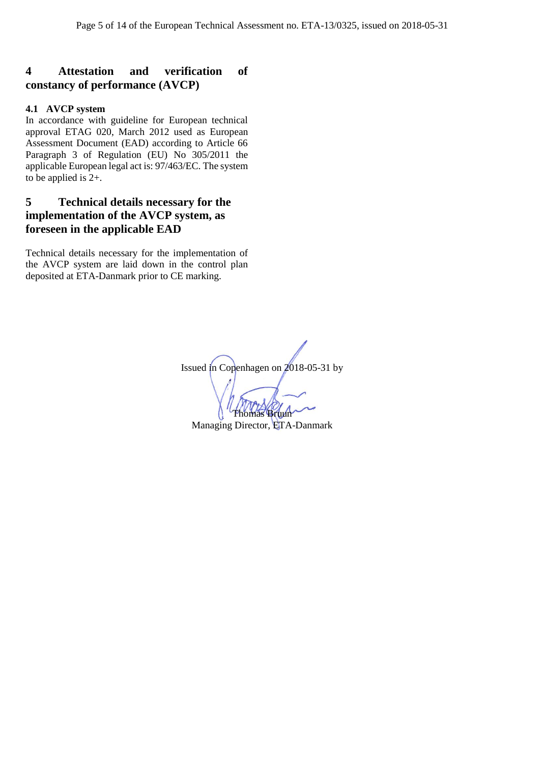## **4 Attestation and verification of constancy of performance (AVCP)**

#### **4.1 AVCP system**

In accordance with guideline for European technical approval ETAG 020, March 2012 used as European Assessment Document (EAD) according to Article 66 Paragraph 3 of Regulation (EU) No 305/2011 the applicable European legal act is: 97/463/EC. The system to be applied is 2+.

## **5 Technical details necessary for the implementation of the AVCP system, as foreseen in the applicable EAD**

Technical details necessary for the implementation of the AVCP system are laid down in the control plan deposited at ETA-Danmark prior to CE marking.

Issued in Copenhagen on 2018-05-31 by Thomas Bruun

Managing Director, ETA-Danmark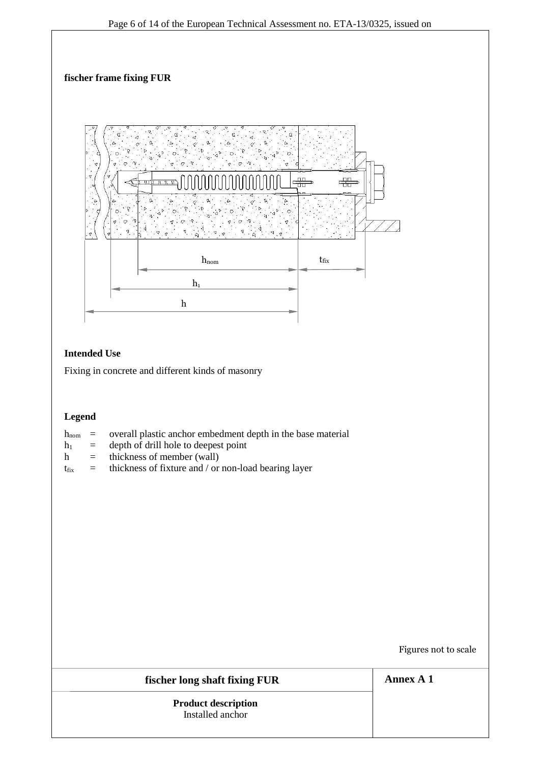

## **Legend**

- $h_{\text{nom}}$  = overall plastic anchor embedment depth in the base material
- $h_1$  = depth of drill hole to deepest point
- $h =$  thickness of member (wall)
- $t_{fix}$  = thickness of fixture and / or non-load bearing layer

Figures not to scale

## **fischer long shaft fixing FUR**

**Product description** Installed anchor

**Annex A 1**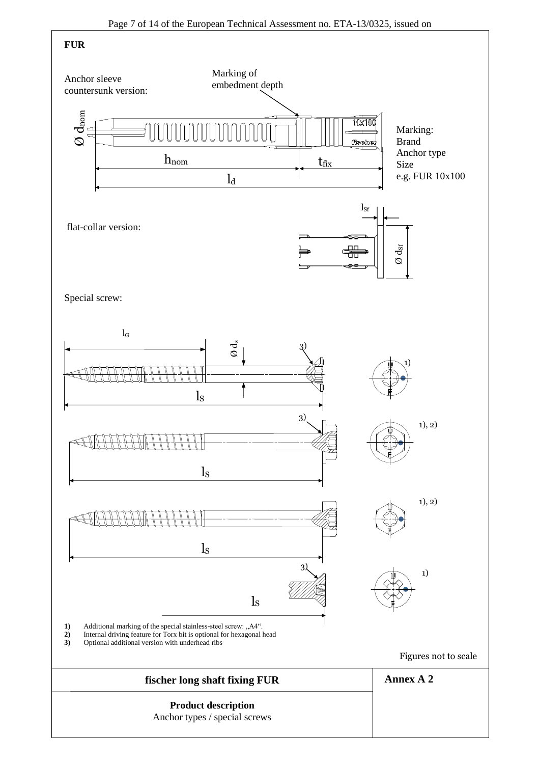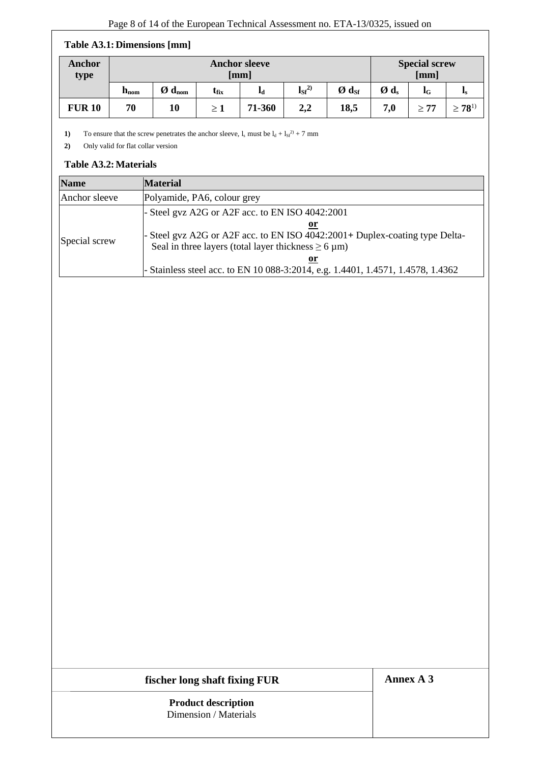#### **Table A3.1: Dimensions [mm]**

| Anchor<br>type | <b>Anchor sleeve</b><br>[mm] |                                   |           |        |           |                                          |                 | <b>Special screw</b><br>[mm] |                |
|----------------|------------------------------|-----------------------------------|-----------|--------|-----------|------------------------------------------|-----------------|------------------------------|----------------|
|                | $h_{\rm nom}$                | $\boldsymbol{O}$ d <sub>nom</sub> | $t_{fix}$ | ЬI     | $\lg^{2}$ | $\boldsymbol{\emptyset}$ d <sub>Sf</sub> | Ød <sub>s</sub> | lG                           | 1s             |
| <b>FUR 10</b>  | 70                           | 10                                | $\geq 1$  | 71-360 | 2,2       | 18,5                                     | 7,0             | > 77                         | $\geq 78^{1)}$ |

1) To ensure that the screw penetrates the anchor sleeve,  $l_s$  must be  $l_d + l_{sf}^2$  + 7 mm

**2)** Only valid for flat collar version

## **Table A3.2:Materials**

| <b>Name</b>   | <b>Material</b>                                                                                                                                           |
|---------------|-----------------------------------------------------------------------------------------------------------------------------------------------------------|
| Anchor sleeve | Polyamide, PA6, colour grey                                                                                                                               |
|               | - Steel gvz A2G or A2F acc. to EN ISO $4042:2001$                                                                                                         |
| Special screw | or<br>- Steel gvz A2G or A2F acc. to EN ISO 4042:2001+ Duplex-coating type Delta-<br>Seal in three layers (total layer thickness $\geq 6 \,\mu m$ )<br>or |
|               | - Stainless steel acc. to EN 10 088-3:2014, e.g. 1.4401, 1.4571, 1.4578, 1.4362                                                                           |

## **fischer long shaft fixing FUR**

**Annex A 3**

**Product description** Dimension / Materials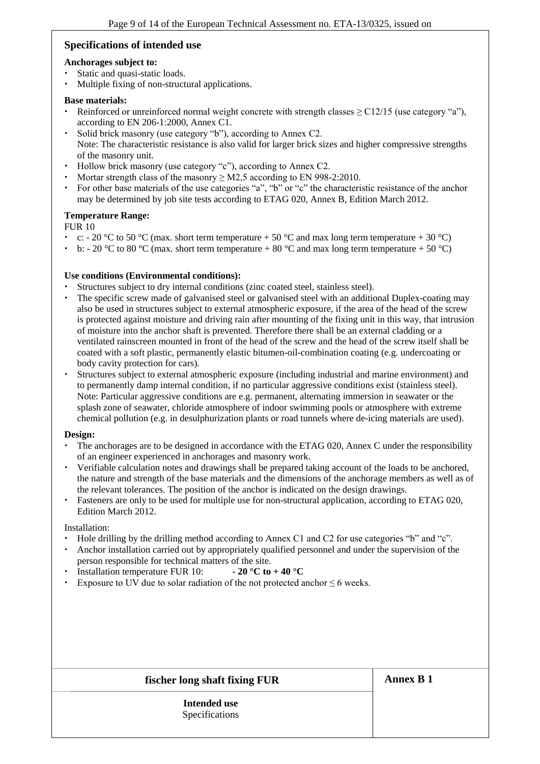## **Specifications of intended use**

#### **Anchorages subject to:**

- Static and quasi-static loads.
- Multiple fixing of non-structural applications.

#### **Base materials:**

- Reinforced or unreinforced normal weight concrete with strength classes  $\geq$  C12/15 (use category "a"), according to EN 206-1:2000, Annex C1.
- Solid brick masonry (use category "b"), according to Annex C2. Note: The characteristic resistance is also valid for larger brick sizes and higher compressive strengths of the masonry unit.
- Hollow brick masonry (use category "c"), according to Annex C2.
- Mortar strength class of the masonry  $\geq$  M2,5 according to EN 998-2:2010.
- For other base materials of the use categories "a", "b" or "c" the characteristic resistance of the anchor may be determined by job site tests according to ETAG 020, Annex B, Edition March 2012.

#### **Temperature Range:**

#### FUR 10

- c: 20 °C to 50 °C (max. short term temperature + 50 °C and max long term temperature + 30 °C)
- b: 20 °C to 80 °C (max. short term temperature + 80 °C and max long term temperature + 50 °C)

#### **Use conditions (Environmental conditions):**

- Structures subject to dry internal conditions (zinc coated steel, stainless steel).
- The specific screw made of galvanised steel or galvanised steel with an additional Duplex-coating may also be used in structures subject to external atmospheric exposure, if the area of the head of the screw is protected against moisture and driving rain after mounting of the fixing unit in this way, that intrusion of moisture into the anchor shaft is prevented. Therefore there shall be an external cladding or a ventilated rainscreen mounted in front of the head of the screw and the head of the screw itself shall be coated with a soft plastic, permanently elastic bitumen-oil-combination coating (e.g. undercoating or body cavity protection for cars).
- Structures subject to external atmospheric exposure (including industrial and marine environment) and to permanently damp internal condition, if no particular aggressive conditions exist (stainless steel). Note: Particular aggressive conditions are e.g. permanent, alternating immersion in seawater or the splash zone of seawater, chloride atmosphere of indoor swimming pools or atmosphere with extreme chemical pollution (e.g. in desulphurization plants or road tunnels where de-icing materials are used).

#### **Design:**

- The anchorages are to be designed in accordance with the ETAG 020, Annex C under the responsibility of an engineer experienced in anchorages and masonry work.
- Verifiable calculation notes and drawings shall be prepared taking account of the loads to be anchored, the nature and strength of the base materials and the dimensions of the anchorage members as well as of the relevant tolerances. The position of the anchor is indicated on the design drawings.
- Fasteners are only to be used for multiple use for non-structural application, according to ETAG 020, Edition March 2012.

Installation:

- Hole drilling by the drilling method according to Annex C1 and C2 for use categories "b" and "c".
- Anchor installation carried out by appropriately qualified personnel and under the supervision of the person responsible for technical matters of the site.
- Installation temperature FUR 10:  $\qquad \qquad$   **20 °C to +40 °C**
- Exposure to UV due to solar radiation of the not protected anchor  $\leq 6$  weeks.

#### **fischer long shaft fixing FUR**

**Annex B 1**

**Intended use** Specifications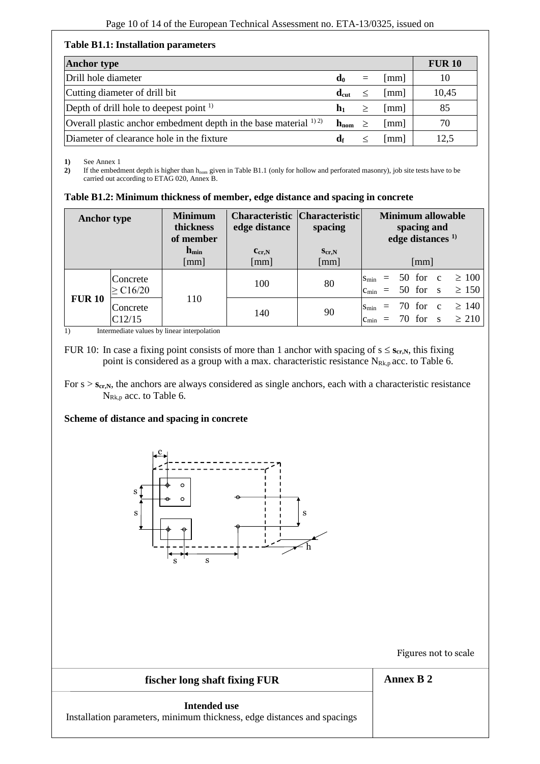#### **Table B1.1: Installation parameters**

| <b>Anchor type</b>                                                   |                  |     |                      | <b>FUR 10</b> |
|----------------------------------------------------------------------|------------------|-----|----------------------|---------------|
| Drill hole diameter                                                  | d <sub>0</sub>   | $=$ | lmm l                | 10            |
| Cutting diameter of drill bit                                        | $d_{cut}$        |     | mm                   | 10,45         |
| Depth of drill hole to deepest point $\frac{1}{1}$                   | $\mathbf{h}_1$   |     | mm                   | 85            |
| Overall plastic anchor embedment depth in the base material $^{1/2}$ | $h_{\text{nom}}$ |     | $\lceil$ mm $\rceil$ | 70            |
| Diameter of clearance hole in the fixture                            | df               |     | mm                   | 12.5          |

**1)** See Annex 1

2) If the embedment depth is higher than h<sub>nom</sub> given in Table B1.1 (only for hollow and perforated masonry), job site tests have to be carried out according to ETAG 020, Annex B.

|  |  | Table B1.2: Minimum thickness of member, edge distance and spacing in concrete |
|--|--|--------------------------------------------------------------------------------|
|--|--|--------------------------------------------------------------------------------|

| <b>Anchor type</b> |                           | <b>Minimum</b><br>thickness<br>of member | <b>Characteristic Characteristic</b><br>edge distance | spacing            | Minimum allowable<br>spacing and<br>edge distances <sup>1)</sup>                     |
|--------------------|---------------------------|------------------------------------------|-------------------------------------------------------|--------------------|--------------------------------------------------------------------------------------|
|                    |                           | $h_{\min}$<br>[mm]                       | $c_{cr,N}$<br>[mm]                                    | $S_{cr,N}$<br>[mm] | [mm]                                                                                 |
|                    | Concrete<br>$\geq C16/20$ |                                          | 100                                                   | 80                 | $= 50$ for $c \ge 100$<br>$S_{\rm min}$<br>$= 50$ for s<br>$\geq 150$<br>$c_{\min}$  |
| <b>FUR 10</b>      | Concrete<br>C12/15        | 110                                      | 140                                                   | 90                 | $\geq 140$<br>$= 70$ for c<br>$S_{\min}$<br>$= 70$ for s<br>$\geq 210$<br>$c_{\min}$ |

1) Intermediate values by linear interpolation

FUR 10: In case a fixing point consists of more than 1 anchor with spacing of  $s \le s_{cr,N}$ , this fixing point is considered as a group with a max. characteristic resistance  $N_{Rk,p}$  acc. to Table 6.

#### **Scheme of distance and spacing in concrete**



Figures not to scale

| fischer long shaft fixing FUR                                           | <b>Annex B 2</b> |
|-------------------------------------------------------------------------|------------------|
| Intended use                                                            |                  |
| Installation parameters, minimum thickness, edge distances and spacings |                  |

For  $s > s_{cr,N}$ , the anchors are always considered as single anchors, each with a characteristic resistance N<sub>Rk,p</sub> acc. to Table 6.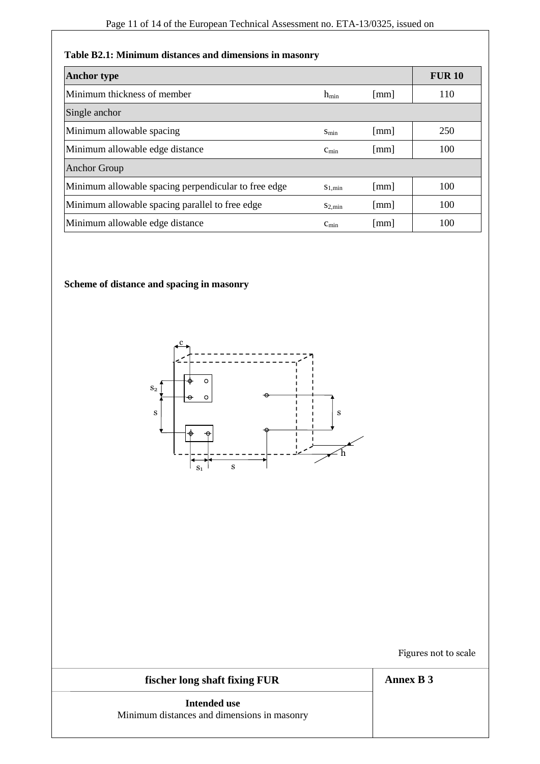## **Table B2.1: Minimum distances and dimensions in masonry**

| <b>Anchor type</b>                                   |                    |                      | <b>FUR 10</b> |
|------------------------------------------------------|--------------------|----------------------|---------------|
| Minimum thickness of member                          | $h_{\min}$         | $\lceil$ mm $\rceil$ | 110           |
| Single anchor                                        |                    |                      |               |
| Minimum allowable spacing                            | $S_{\min}$         | $\lceil$ mm $\rceil$ | 250           |
| Minimum allowable edge distance                      | $c_{\min}$         | $\lceil$ mm $\rceil$ | 100           |
| <b>Anchor Group</b>                                  |                    |                      |               |
| Minimum allowable spacing perpendicular to free edge | $S_{1,min}$        | $\lceil$ mm $\rceil$ | 100           |
| Minimum allowable spacing parallel to free edge      | $S_{2,\text{min}}$ | $\lceil$ mm $\rceil$ | 100           |
| Minimum allowable edge distance                      | $c_{\min}$         | $\lceil$ mm $\rceil$ | 100           |

# **Scheme of distance and spacing in masonry**



Figures not to scale

# **fischer long shaft fixing FUR Intended use**

**Annex B 3**

Minimum distances and dimensions in masonry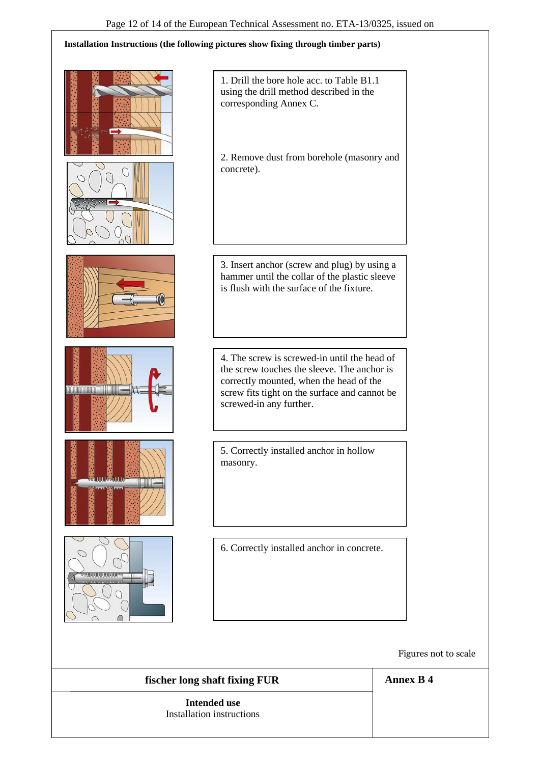#### **Installation Instructions (the following pictures show fixing through timber parts)**



Figures not to scale

**fischer long shaft fixing FUR**

**Intended use** Installation instructions **Annex B 4**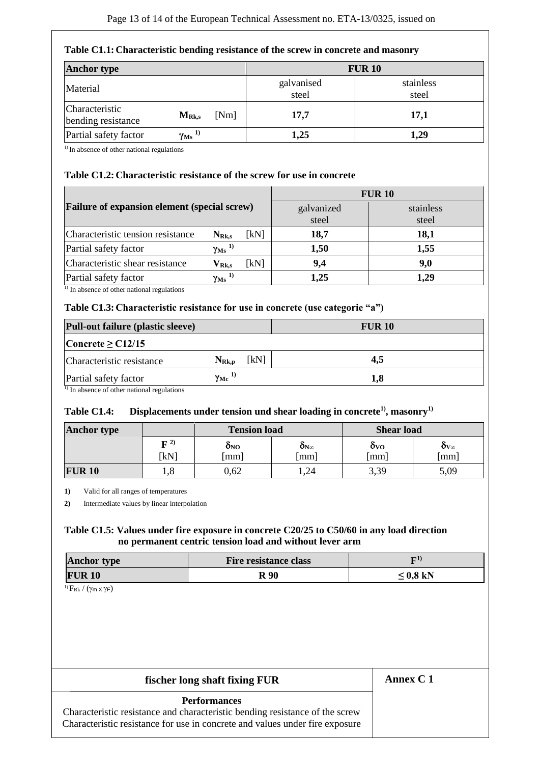#### **Table C1.1: Characteristic bending resistance of the screw in concrete and masonry**

| <b>Anchor type</b>                   |                                      |                     | <b>FUR 10</b>      |
|--------------------------------------|--------------------------------------|---------------------|--------------------|
| Material                             |                                      | galvanised<br>steel | stainless<br>steel |
| Characteristic<br>bending resistance | [Nm]<br>$M_{Rk,s}$                   | 17,7                | 17,1               |
| Partial safety factor                | $\gamma$ <sub>Ms</sub> <sup>1)</sup> | 1,25                | 1,29               |

<sup>1)</sup> In absence of other national regulations

#### **Table C1.2: Characteristic resistance of the screw for use in concrete**

|                                              |                                                | <b>FUR 10</b>       |                    |      |  |
|----------------------------------------------|------------------------------------------------|---------------------|--------------------|------|--|
| Failure of expansion element (special screw) |                                                | galvanized<br>steel | stainless<br>steel |      |  |
| Characteristic tension resistance            | $N_{Rk,s}$                                     | [kN]                | 18,7               | 18,1 |  |
| Partial safety factor                        | $\gamma$ <sub>Ms</sub> <sup>1)</sup>           |                     | 1,50               | 1,55 |  |
| Characteristic shear resistance              | $\mathbf{V}_{\mathbf{R}\mathbf{k},\mathbf{s}}$ | [kN]                | 9,4                | 9,0  |  |
| Partial safety factor                        | $\gamma_{\rm Ms}$ 1)                           |                     | 1,25               | 1,29 |  |

 $\overline{1}$ ) In absence of other national regulations

#### **Table C1.3: Characteristic resistance for use in concrete (use categorie "a")**

| <b>Pull-out failure (plastic sleeve)</b>              |                          |      | <b>FUR 10</b> |
|-------------------------------------------------------|--------------------------|------|---------------|
| Concrete $\geq$ C12/15                                |                          |      |               |
| Characteristic resistance                             | $N_{\rm Rk,p}$           | [kN] | 4,5           |
| Partial safety factor                                 | $\gamma_{\text{Mc}}^{1}$ |      | 1,8           |
| $\frac{1}{2}$ In absence of other national requisions |                          |      |               |

1) In absence of other national regulations

#### **Table C1.4: Displacements under tension und shear loading in concrete1), masonry1)**

| <b>Anchor type</b> |                            | <b>Tension load</b>                  |      | <b>Shear load</b>                |                               |  |
|--------------------|----------------------------|--------------------------------------|------|----------------------------------|-------------------------------|--|
|                    | $\mathbf{F}^{(2)}$<br>[kN] | ONO<br>$O_{N\infty}$<br>[mm]<br>[mm] |      | $\mathbf{O}(\mathbf{V})$<br>[mm] | $\delta_{V_{\infty}}$<br>[mm] |  |
| <b>FUR 10</b>      | 1,0                        | 0,62                                 | , 24 | 3,39                             | 5,09                          |  |

**1)** Valid for all ranges of temperatures

**2)** Intermediate values by linear interpolation

#### **Table C1.5: Values under fire exposure in concrete C20/25 to C50/60 in any load direction no permanent centric tension load and without lever arm**

| <b>Anchor type</b> | <b>Fire resistance class</b> | п1.           |
|--------------------|------------------------------|---------------|
| <b>FUR 10</b>      | R 90                         | $\leq 0.8$ kN |

 $1)$   $F_{Rk}$  /  $(\gamma$ m  $\chi \gamma F)$ 

## **fischer long shaft fixing FUR**

**Annex C 1**

#### **Performances**

Characteristic resistance and characteristic bending resistance of the screw Characteristic resistance for use in concrete and values under fire exposure